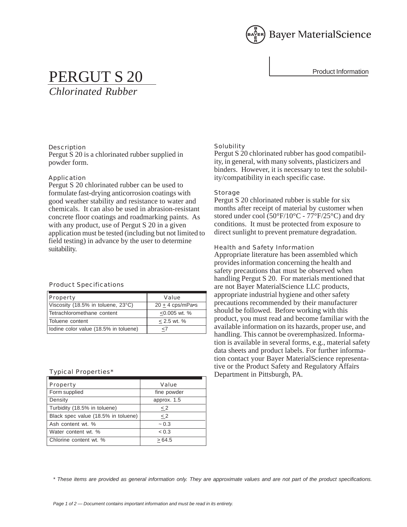

# PERGUT S 20

*Chlorinated Rubber*

**Description** Pergut S 20 is a chlorinated rubber supplied in powder form.

# Application

Pergut S 20 chlorinated rubber can be used to formulate fast-drying anticorrosion coatings with good weather stability and resistance to water and chemicals. It can also be used in abrasion-resistant concrete floor coatings and roadmarking paints. As with any product, use of Pergut S 20 in a given application must be tested (including but not limited to field testing) in advance by the user to determine suitability.

# Product Specifications

| Property                              | Value              |
|---------------------------------------|--------------------|
| Viscosity (18.5% in toluene, 23°C)    | $20 + 4$ cps/mPa•s |
| Tetrachloromethane content            | $< 0.005$ wt. %    |
| Toluene content                       | $< 2.5$ wt. %      |
| Iodine color value (18.5% in toluene) | $<$ 7              |

# Typical Properties\*

| Property                            | Value       |
|-------------------------------------|-------------|
| Form supplied                       | fine powder |
| Density                             | approx. 1.5 |
| Turbidity (18.5% in toluene)        | $\leq$ 2    |
| Black spec value (18.5% in toluene) | < 2         |
| Ash content wt. %                   | ~10.3       |
| Water content wt. %                 | < 0.3       |
| Chlorine content wt. %              | >64.5       |

# Solubility

Pergut S 20 chlorinated rubber has good compatibility, in general, with many solvents, plasticizers and binders. However, it is necessary to test the solubility/compatibility in each specific case.

# Storage

Pergut S 20 chlorinated rubber is stable for six months after receipt of material by customer when stored under cool (50°F/10°C - 77°F/25°C) and dry conditions. It must be protected from exposure to direct sunlight to prevent premature degradation.

# Health and Safety Information

Appropriate literature has been assembled which provides information concerning the health and safety precautions that must be observed when handling Pergut S 20. For materials mentioned that are not Bayer MaterialScience LLC products, appropriate industrial hygiene and other safety precautions recommended by their manufacturer should be followed. Before working with this product, you must read and become familiar with the available information on its hazards, proper use, and handling. This cannot be overemphasized. Information is available in several forms, e.g., material safety data sheets and product labels. For further information contact your Bayer MaterialScience representative or the Product Safety and Regulatory Affairs Department in Pittsburgh, PA.

*\* These items are provided as general information only. They are approximate values and are not part of the product specifications.*